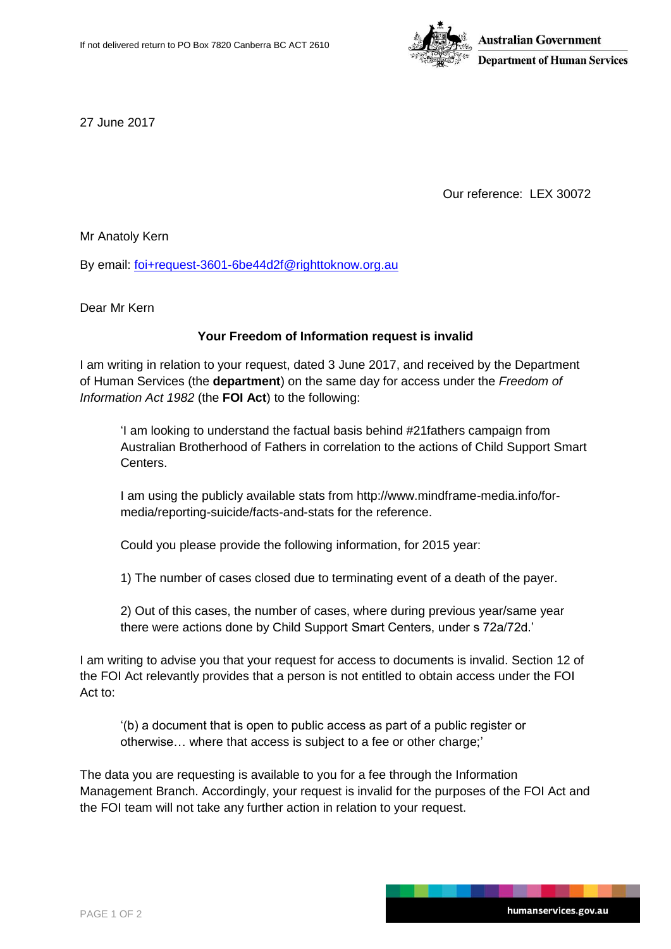

27 June 2017

Our reference: LEX 30072

Mr Anatoly Kern

By email: [foi+request-3601-6be44d2f@righttoknow.org.au](mailto:xxxxxxxxxxxxxxxxxxxxxxxxx@xxxxxxxxxxx.xxx.xx)

Dear Mr Kern

## **Your Freedom of Information request is invalid**

I am writing in relation to your request, dated 3 June 2017, and received by the Department of Human Services (the **department**) on the same day for access under the *Freedom of Information Act 1982* (the **FOI Act**) to the following:

'I am looking to understand the factual basis behind #21fathers campaign from Australian Brotherhood of Fathers in correlation to the actions of Child Support Smart Centers.

I am using the publicly available stats from http://www.mindframe-media.info/formedia/reporting-suicide/facts-and-stats for the reference.

Could you please provide the following information, for 2015 year:

1) The number of cases closed due to terminating event of a death of the payer.

2) Out of this cases, the number of cases, where during previous year/same year there were actions done by Child Support Smart Centers, under s 72a/72d.'

I am writing to advise you that your request for access to documents is invalid. Section 12 of the FOI Act relevantly provides that a person is not entitled to obtain access under the FOI Act to:

'(b) a document that is open to public access as part of a public register or otherwise… where that access is subject to a fee or other charge;'

The data you are requesting is available to you for a fee through the Information Management Branch. Accordingly, your request is invalid for the purposes of the FOI Act and the FOI team will not take any further action in relation to your request.